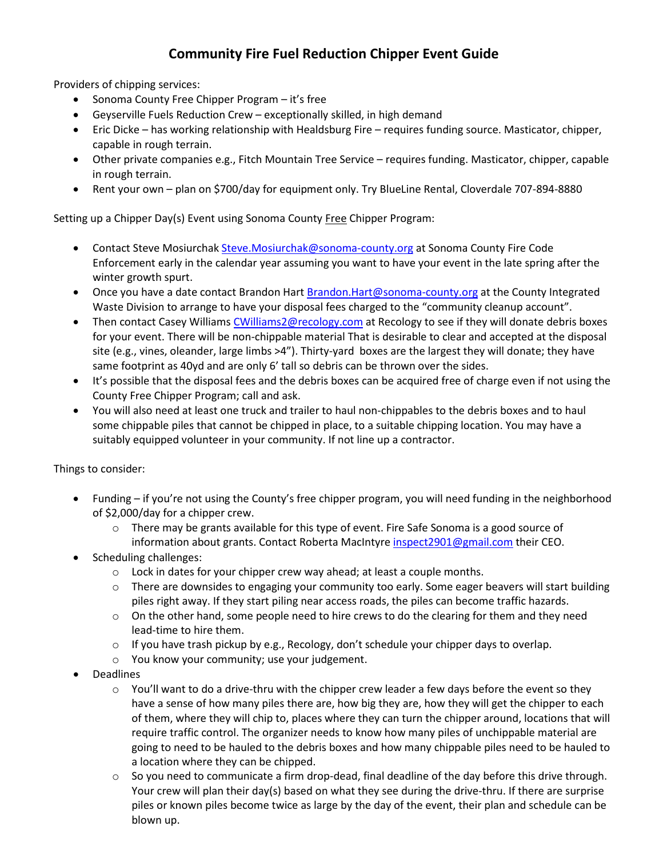### **Community Fire Fuel Reduction Chipper Event Guide**

Providers of chipping services:

- Sonoma County Free Chipper Program it's free
- Geyserville Fuels Reduction Crew exceptionally skilled, in high demand
- Eric Dicke has working relationship with Healdsburg Fire requires funding source. Masticator, chipper, capable in rough terrain.
- Other private companies e.g., Fitch Mountain Tree Service requires funding. Masticator, chipper, capable in rough terrain.
- Rent your own plan on \$700/day for equipment only. Try BlueLine Rental, Cloverdale 707-894-8880

Setting up a Chipper Day(s) Event using Sonoma County Free Chipper Program:

- Contact Steve Mosiurcha[k Steve.Mosiurchak@sonoma-county.org](mailto:Steve.Mosiurchak@sonoma-county.org) at Sonoma County Fire Code Enforcement early in the calendar year assuming you want to have your event in the late spring after the winter growth spurt.
- Once you have a date contact Brandon Har[t Brandon.Hart@sonoma-county.org](mailto:Brandon.Hart@sonoma-county.org) at the County Integrated Waste Division to arrange to have your disposal fees charged to the "community cleanup account".
- Then contact Casey William[s CWilliams2@recology.com](mailto:CWilliams2@recology.com) at Recology to see if they will donate debris boxes for your event. There will be non-chippable material That is desirable to clear and accepted at the disposal site (e.g., vines, oleander, large limbs >4"). Thirty-yard boxes are the largest they will donate; they have same footprint as 40yd and are only 6' tall so debris can be thrown over the sides.
- It's possible that the disposal fees and the debris boxes can be acquired free of charge even if not using the County Free Chipper Program; call and ask.
- You will also need at least one truck and trailer to haul non-chippables to the debris boxes and to haul some chippable piles that cannot be chipped in place, to a suitable chipping location. You may have a suitably equipped volunteer in your community. If not line up a contractor.

Things to consider:

- Funding if you're not using the County's free chipper program, you will need funding in the neighborhood of \$2,000/day for a chipper crew.
	- $\circ$  There may be grants available for this type of event. Fire Safe Sonoma is a good source of information about grants. Contact Roberta MacIntyre [inspect2901@gmail.com](mailto:inspect2901@gmail.com) their CEO.
- Scheduling challenges:
	- o Lock in dates for your chipper crew way ahead; at least a couple months.
	- o There are downsides to engaging your community too early. Some eager beavers will start building piles right away. If they start piling near access roads, the piles can become traffic hazards.
	- $\circ$  On the other hand, some people need to hire crews to do the clearing for them and they need lead-time to hire them.
	- $\circ$  If you have trash pickup by e.g., Recology, don't schedule your chipper days to overlap.
	- o You know your community; use your judgement.
- Deadlines
	- $\circ$  You'll want to do a drive-thru with the chipper crew leader a few days before the event so they have a sense of how many piles there are, how big they are, how they will get the chipper to each of them, where they will chip to, places where they can turn the chipper around, locations that will require traffic control. The organizer needs to know how many piles of unchippable material are going to need to be hauled to the debris boxes and how many chippable piles need to be hauled to a location where they can be chipped.
	- $\circ$  So you need to communicate a firm drop-dead, final deadline of the day before this drive through. Your crew will plan their day(s) based on what they see during the drive-thru. If there are surprise piles or known piles become twice as large by the day of the event, their plan and schedule can be blown up.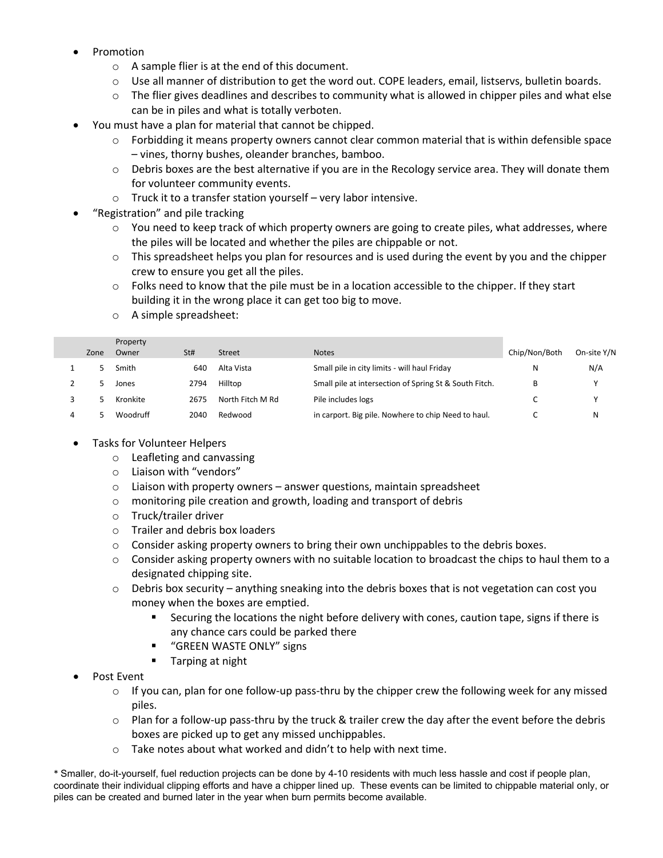- Promotion
	- o A sample flier is at the end of this document.
	- $\circ$  Use all manner of distribution to get the word out. COPE leaders, email, listservs, bulletin boards.
	- $\circ$  The flier gives deadlines and describes to community what is allowed in chipper piles and what else can be in piles and what is totally verboten.
- You must have a plan for material that cannot be chipped.
	- $\circ$  Forbidding it means property owners cannot clear common material that is within defensible space – vines, thorny bushes, oleander branches, bamboo.
	- $\circ$  Debris boxes are the best alternative if you are in the Recology service area. They will donate them for volunteer community events.
	- o Truck it to a transfer station yourself very labor intensive.
- "Registration" and pile tracking
	- $\circ$  You need to keep track of which property owners are going to create piles, what addresses, where the piles will be located and whether the piles are chippable or not.
	- $\circ$  This spreadsheet helps you plan for resources and is used during the event by you and the chipper crew to ensure you get all the piles.
	- $\circ$  Folks need to know that the pile must be in a location accessible to the chipper. If they start building it in the wrong place it can get too big to move.
	- o A simple spreadsheet:

| Zone | Property<br>Owner | St#  | <b>Street</b>    | <b>Notes</b>                                           | Chip/Non/Both | On-site Y/N |
|------|-------------------|------|------------------|--------------------------------------------------------|---------------|-------------|
|      | Smith             | 640  | Alta Vista       | Small pile in city limits - will haul Friday           | Ν             | N/A         |
|      | Jones             | 2794 | Hilltop          | Small pile at intersection of Spring St & South Fitch. | B             | v           |
|      | Kronkite          | 2675 | North Fitch M Rd | Pile includes logs                                     |               |             |
|      | Woodruff          | 2040 | Redwood          | in carport. Big pile. Nowhere to chip Need to haul.    |               | N           |

#### • Tasks for Volunteer Helpers

- o Leafleting and canvassing
- o Liaison with "vendors"
- $\circ$  Liaison with property owners answer questions, maintain spreadsheet
- o monitoring pile creation and growth, loading and transport of debris
- o Truck/trailer driver
- o Trailer and debris box loaders
- $\circ$  Consider asking property owners to bring their own unchippables to the debris boxes.
- $\circ$  Consider asking property owners with no suitable location to broadcast the chips to haul them to a designated chipping site.
- $\circ$  Debris box security anything sneaking into the debris boxes that is not vegetation can cost you money when the boxes are emptied.
	- Securing the locations the night before delivery with cones, caution tape, signs if there is any chance cars could be parked there
	- **"** "GREEN WASTE ONLY" signs
	- **Tarping at night**
- Post Event
	- $\circ$  If you can, plan for one follow-up pass-thru by the chipper crew the following week for any missed piles.
	- $\circ$  Plan for a follow-up pass-thru by the truck & trailer crew the day after the event before the debris boxes are picked up to get any missed unchippables.
	- o Take notes about what worked and didn't to help with next time.

\* Smaller, do-it-yourself, fuel reduction projects can be done by 4-10 residents with much less hassle and cost if people plan, coordinate their individual clipping efforts and have a chipper lined up. These events can be limited to chippable material only, or piles can be created and burned later in the year when burn permits become available.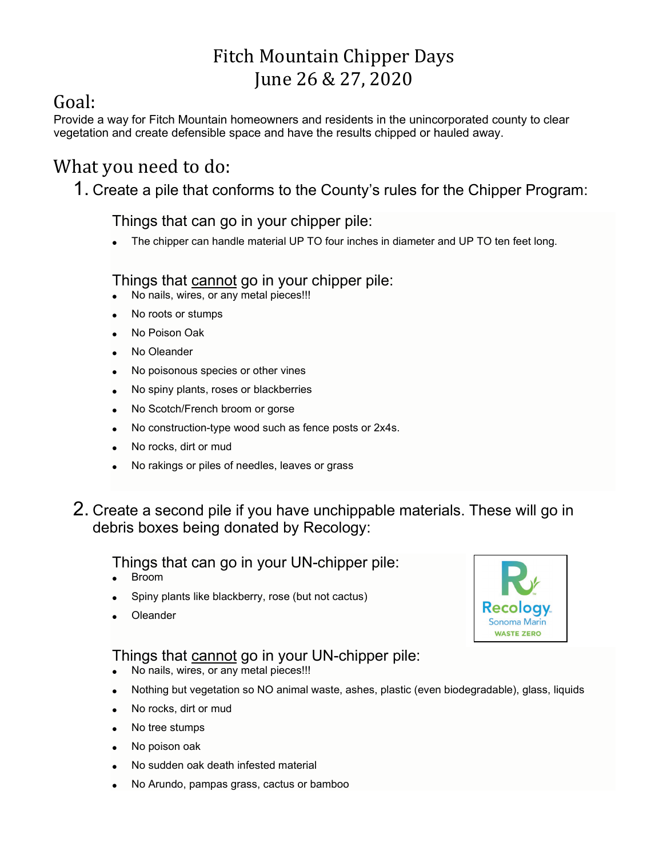# Fitch Mountain Chipper Days June 26 & 27, 2020

# Goal:

Provide a way for Fitch Mountain homeowners and residents in the unincorporated county to clear vegetation and create defensible space and have the results chipped or hauled away.

### What you need to do:

1. Create a pile that conforms to the County's rules for the Chipper Program:

Things that can go in your chipper pile:

The chipper can handle material UP TO four inches in diameter and UP TO ten feet long.

### Things that cannot go in your chipper pile:

- No nails, wires, or any metal pieces!!!
- No roots or stumps
- No Poison Oak
- No Oleander
- No poisonous species or other vines
- No spiny plants, roses or blackberries
- No Scotch/French broom or gorse
- No construction-type wood such as fence posts or 2x4s.
- No rocks, dirt or mud
- No rakings or piles of needles, leaves or grass
- 2. Create a second pile if you have unchippable materials. These will go in debris boxes being donated by Recology:

#### Things that can go in your UN-chipper pile:

- Broom
- Spiny plants like blackberry, rose (but not cactus)
- **Oleander**

Things that cannot go in your UN-chipper pile:

- No nails, wires, or any metal pieces!!!
- Nothing but vegetation so NO animal waste, ashes, plastic (even biodegradable), glass, liquids
- No rocks, dirt or mud
- No tree stumps
- No poison oak
- No sudden oak death infested material
- No Arundo, pampas grass, cactus or bamboo